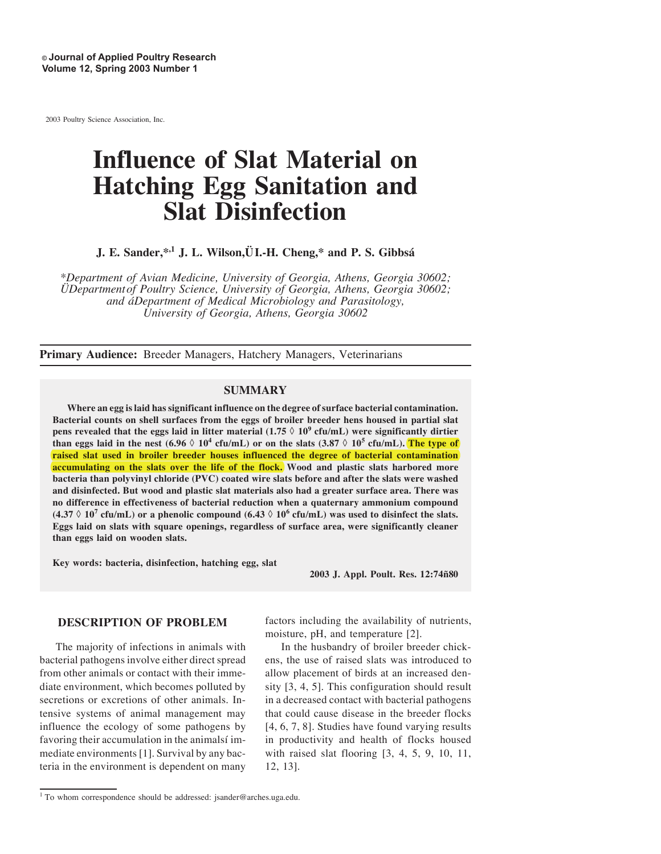2003 Poultry Science Association, Inc.

# **Influence of Slat Material on Hatching Egg Sanitation and Slat Disinfection**

**J. E. Sander,\*,1 J. L. Wilson,ÜI.-H. Cheng,\* and P. S. Gibbsá**

*\*Department of Avian Medicine, University of Georgia, Athens, Georgia 30602; ÜDepartmentof Poultry Science, University of Georgia, Athens, Georgia 30602; and áDepartment of Medical Microbiology and Parasitology, University of Georgia, Athens, Georgia 30602*

**Primary Audience:** Breeder Managers, Hatchery Managers, Veterinarians

## **SUMMARY**

**Where an egg islaid has significant influence on the degree ofsurface bacterial contamination. Bacterial counts on shell surfaces from the eggs of broiler breeder hens housed in partial slat pens revealed that the eggs laid in litter material (1.75** ◊ **10<sup>9</sup> cfu/mL) were significantly dirtier** than eggs laid in the nest (6.96  $\Diamond$  10<sup>4</sup> cfu/mL) or on the slats (3.87  $\Diamond$  10<sup>5</sup> cfu/mL). The type of **raised slat used in broiler breeder houses influenced the degree of bacterial contamination accumulating on the slats over the life of the flock. Wood and plastic slats harbored more bacteria than polyvinyl chloride (PVC) coated wire slats before and after the slats were washed and disinfected. But wood and plastic slat materials also had a greater surface area. There was no difference in effectiveness of bacterial reduction when a quaternary ammonium compound (4.37**  $\Diamond$  **10<sup>7</sup> <b>cfu/mL**) **or a** phenolic compound **(6.43**  $\Diamond$  **10<sup>6</sup> cfu/mL**) was used to disinfect the slats. **Eggs laid on slats with square openings, regardless of surface area, were significantly cleaner than eggs laid on wooden slats.**

**Key words: bacteria, disinfection, hatching egg, slat**

**2003 J. Appl. Poult. Res. 12:74ñ80**

#### **DESCRIPTION OF PROBLEM**

The majority of infections in animals with bacterial pathogensinvolve either direct spread from other animals or contact with their immediate environment, which becomes polluted by secretions or excretions of other animals. Intensive systems of animal management may influence the ecology of some pathogens by favoring their accumulation in the animalsí immediate environments[1]. Survival by any bacteria in the environment is dependent on many factors including the availability of nutrients, moisture, pH, and temperature [2].

In the husbandry of broiler breeder chickens, the use of raised slats was introduced to allow placement of birds at an increased density [3, 4, 5]. This configuration should result in a decreased contact with bacterial pathogens that could cause disease in the breeder flocks [4, 6, 7, 8]. Studies have found varying results in productivity and health of flocks housed with raised slat flooring [3, 4, 5, 9, 10, 11, 12, 13].

 $1$  To whom correspondence should be addressed: jsander@arches.uga.edu.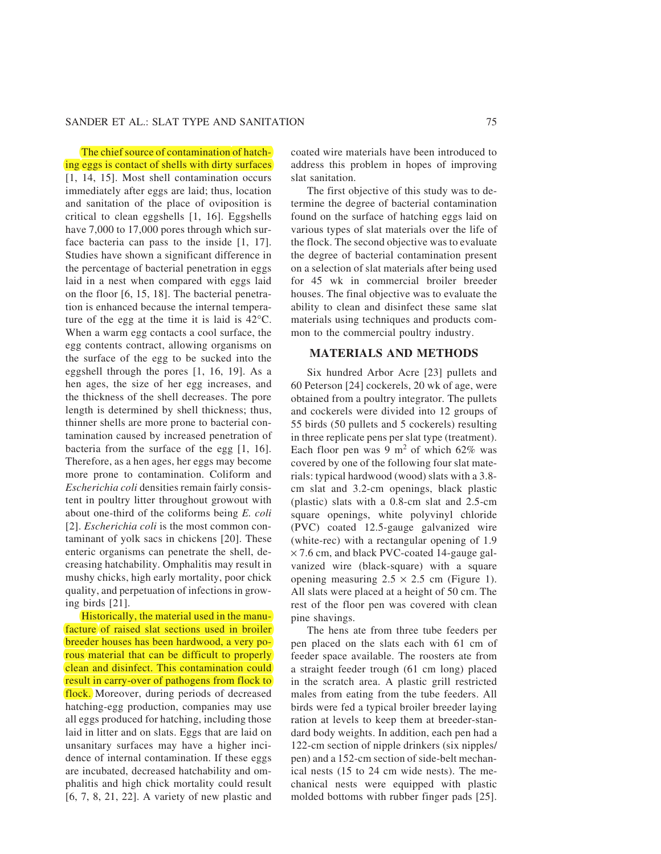The chief source of contamination of hatch- $\left($ ing eggs is contact of shells with dirty surfaces [1, 14, 15]. Most shell contamination occurs immediately after eggs are laid; thus, location and sanitation of the place of oviposition is critical to clean eggshells [1, 16]. Eggshells have 7,000 to 17,000 pores through which surface bacteria can pass to the inside [1, 17]. Studies have shown a significant difference in the percentage of bacterial penetration in eggs laid in a nest when compared with eggs laid on the floor [6, 15, 18]. The bacterial penetration is enhanced because the internal temperature of the egg at the time it is laid is 42°C. When a warm egg contacts a cool surface, the egg contents contract, allowing organisms on the surface of the egg to be sucked into the eggshell through the pores [1, 16, 19]. As a hen ages, the size of her egg increases, and the thickness of the shell decreases. The pore length is determined by shell thickness; thus, thinner shells are more prone to bacterial contamination caused by increased penetration of bacteria from the surface of the egg [1, 16]. Therefore, as a hen ages, her eggs may become more prone to contamination. Coliform and *Escherichia coli* densities remain fairly consistent in poultry litter throughout growout with about one-third of the coliforms being *E. coli* [2]. *Escherichia coli* is the most common contaminant of yolk sacs in chickens [20]. These enteric organisms can penetrate the shell, decreasing hatchability. Omphalitis may result in mushy chicks, high early mortality, poor chick quality, and perpetuation of infections in growing birds [21].

Historically, the material used in the manu $f$ acture) of raised slat sections used in broiler breeder houses has been hardwood, a very porous material that can be difficult to properly clean and disinfect. This contamination could result in carry-over of pathogens from flock to flock. Moreover, during periods of decreased hatching-egg production, companies may use all eggs produced for hatching, including those laid in litter and on slats. Eggs that are laid on unsanitary surfaces may have a higher incidence of internal contamination. If these eggs are incubated, decreased hatchability and omphalitis and high chick mortality could result [6, 7, 8, 21, 22]. A variety of new plastic and

coated wire materials have been introduced to address this problem in hopes of improving slat sanitation.

The first objective of this study was to determine the degree of bacterial contamination found on the surface of hatching eggs laid on various types of slat materials over the life of the flock. The second objective was to evaluate the degree of bacterial contamination present on a selection of slat materials after being used for 45 wk in commercial broiler breeder houses. The final objective was to evaluate the ability to clean and disinfect these same slat materials using techniques and products common to the commercial poultry industry.

## **MATERIALS AND METHODS**

Six hundred Arbor Acre [23] pullets and 60 Peterson [24] cockerels, 20 wk of age, were obtained from a poultry integrator. The pullets and cockerels were divided into 12 groups of 55 birds (50 pullets and 5 cockerels) resulting in three replicate pens per slat type (treatment). Each floor pen was 9 m<sup>2</sup> of which 62% was covered by one of the following four slat materials: typical hardwood (wood) slats with a 3.8 cm slat and 3.2-cm openings, black plastic (plastic) slats with a 0.8-cm slat and 2.5-cm square openings, white polyvinyl chloride (PVC) coated 12.5-gauge galvanized wire (white-rec) with a rectangular opening of 1.9 × 7.6 cm, and black PVC-coated 14-gauge galvanized wire (black-square) with a square opening measuring  $2.5 \times 2.5$  cm (Figure 1). All slats were placed at a height of 50 cm. The rest of the floor pen was covered with clean pine shavings.

The hens ate from three tube feeders per pen placed on the slats each with 61 cm of feeder space available. The roosters ate from a straight feeder trough (61 cm long) placed in the scratch area. A plastic grill restricted males from eating from the tube feeders. All birds were fed a typical broiler breeder laying ration at levels to keep them at breeder-standard body weights. In addition, each pen had a 122-cm section of nipple drinkers (six nipples/ pen) and a 152-cm section of side-belt mechanical nests (15 to 24 cm wide nests). The mechanical nests were equipped with plastic molded bottoms with rubber finger pads [25].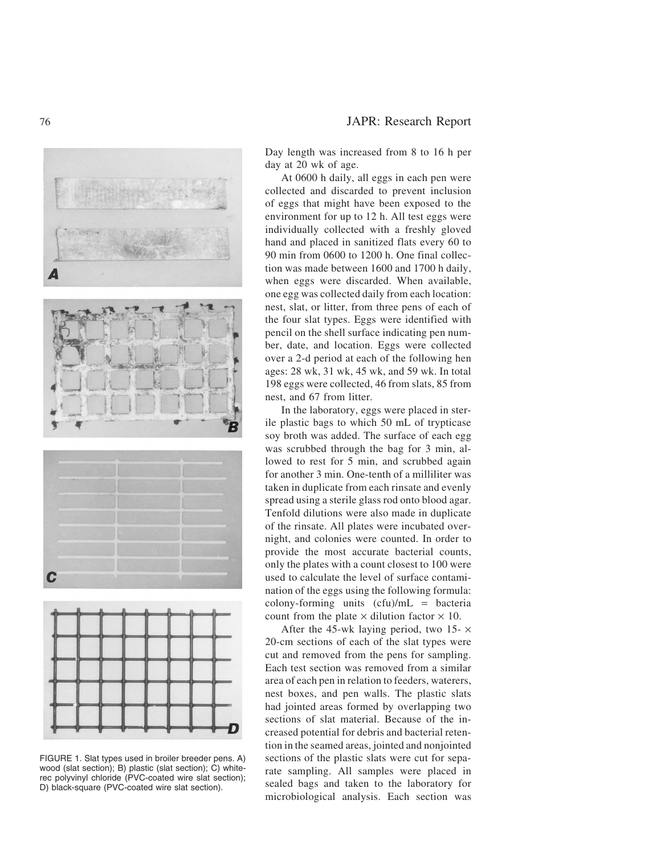

wood (slat section); B) plastic (slat section); C) whiterec polyvinyl chloride (PVC-coated wire slat section); D) black-square (PVC-coated wire slat section).

Day length was increased from 8 to 16 h per day at 20 wk of age.

At 0600 h daily, all eggs in each pen were collected and discarded to prevent inclusion of eggs that might have been exposed to the environment for up to 12 h. All test eggs were individually collected with a freshly gloved hand and placed in sanitized flats every 60 to 90 min from 0600 to 1200 h. One final collection was made between 1600 and 1700 h daily, when eggs were discarded. When available, one egg was collected daily from each location: nest, slat, or litter, from three pens of each of the four slat types. Eggs were identified with pencil on the shell surface indicating pen number, date, and location. Eggs were collected over a 2-d period at each of the following hen ages: 28 wk, 31 wk, 45 wk, and 59 wk. In total 198 eggs were collected, 46 from slats, 85 from nest, and 67 from litter.

In the laboratory, eggs were placed in sterile plastic bags to which 50 mL of trypticase soy broth was added. The surface of each egg was scrubbed through the bag for 3 min, allowed to rest for 5 min, and scrubbed again for another 3 min. One-tenth of a milliliter was taken in duplicate from each rinsate and evenly spread using a sterile glass rod onto blood agar. Tenfold dilutions were also made in duplicate of the rinsate. All plates were incubated overnight, and colonies were counted. In order to provide the most accurate bacterial counts, only the plates with a count closest to 100 were used to calculate the level of surface contamination of the eggs using the following formula: colony-forming units (cfu)/mL = bacteria count from the plate  $\times$  dilution factor  $\times$  10.

After the 45-wk laying period, two 15- $\times$ 20-cm sections of each of the slat types were cut and removed from the pens for sampling. Each test section was removed from a similar area of each pen in relation to feeders, waterers, nest boxes, and pen walls. The plastic slats had jointed areas formed by overlapping two sections of slat material. Because of the increased potential for debris and bacterial retention in the seamed areas, jointed and nonjointed sections of the plastic slats were cut for separate sampling. All samples were placed in sealed bags and taken to the laboratory for microbiological analysis. Each section was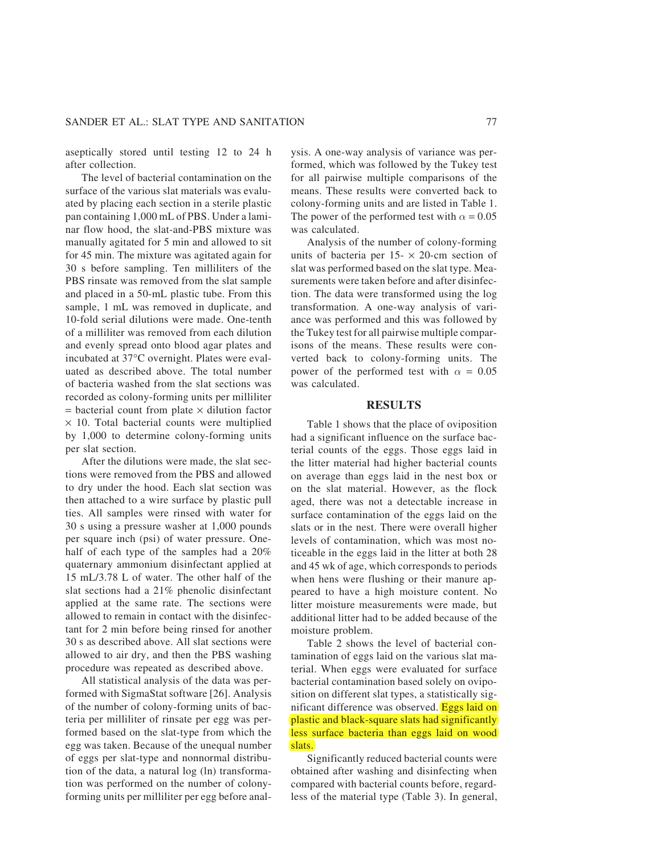aseptically stored until testing 12 to 24 h after collection.

The level of bacterial contamination on the surface of the various slat materials was evaluated by placing each section in a sterile plastic pan containing 1,000 mL of PBS. Under a laminar flow hood, the slat-and-PBS mixture was manually agitated for 5 min and allowed to sit for 45 min. The mixture was agitated again for 30 s before sampling. Ten milliliters of the PBS rinsate was removed from the slat sample and placed in a 50-mL plastic tube. From this sample, 1 mL was removed in duplicate, and 10-fold serial dilutions were made. One-tenth of a milliliter was removed from each dilution and evenly spread onto blood agar plates and incubated at 37°C overnight. Plates were evaluated as described above. The total number of bacteria washed from the slat sections was recorded as colony-forming units per milliliter  $=$  bacterial count from plate  $\times$  dilution factor  $\times$  10. Total bacterial counts were multiplied by 1,000 to determine colony-forming units per slat section.

After the dilutions were made, the slat sections were removed from the PBS and allowed to dry under the hood. Each slat section was then attached to a wire surface by plastic pull ties. All samples were rinsed with water for 30 s using a pressure washer at 1,000 pounds per square inch (psi) of water pressure. Onehalf of each type of the samples had a 20% quaternary ammonium disinfectant applied at 15 mL/3.78 L of water. The other half of the slat sections had a 21% phenolic disinfectant applied at the same rate. The sections were allowed to remain in contact with the disinfectant for 2 min before being rinsed for another 30 s as described above. All slat sections were allowed to air dry, and then the PBS washing procedure was repeated as described above.

All statistical analysis of the data was performed with SigmaStat software [26]. Analysis of the number of colony-forming units of bacteria per milliliter of rinsate per egg was performed based on the slat-type from which the egg was taken. Because of the unequal number of eggs per slat-type and nonnormal distribution of the data, a natural log (ln) transformation was performed on the number of colonyforming units per milliliter per egg before analysis. A one-way analysis of variance was performed, which was followed by the Tukey test for all pairwise multiple comparisons of the means. These results were converted back to colony-forming units and are listed in Table 1. The power of the performed test with  $\alpha = 0.05$ was calculated.

Analysis of the number of colony-forming units of bacteria per  $15-x$  20-cm section of slat was performed based on the slat type. Measurements were taken before and after disinfection. The data were transformed using the log transformation. A one-way analysis of variance was performed and this was followed by the Tukey test for all pairwise multiple comparisons of the means. These results were converted back to colony-forming units. The power of the performed test with  $\alpha = 0.05$ was calculated.

#### **RESULTS**

Table 1 shows that the place of oviposition had a significant influence on the surface bacterial counts of the eggs. Those eggs laid in the litter material had higher bacterial counts on average than eggs laid in the nest box or on the slat material. However, as the flock aged, there was not a detectable increase in surface contamination of the eggs laid on the slats or in the nest. There were overall higher levels of contamination, which was most noticeable in the eggs laid in the litter at both 28 and 45 wk of age, which corresponds to periods when hens were flushing or their manure appeared to have a high moisture content. No litter moisture measurements were made, but additional litter had to be added because of the moisture problem.

Table 2 shows the level of bacterial contamination of eggs laid on the various slat material. When eggs were evaluated for surface bacterial contamination based solely on oviposition on different slat types, a statistically significant difference was observed. Eggs laid on plastic and black-square slats had significantly less surface bacteria than eggs laid on wood slats.

Significantly reduced bacterial counts were obtained after washing and disinfecting when compared with bacterial counts before, regardless of the material type (Table 3). In general,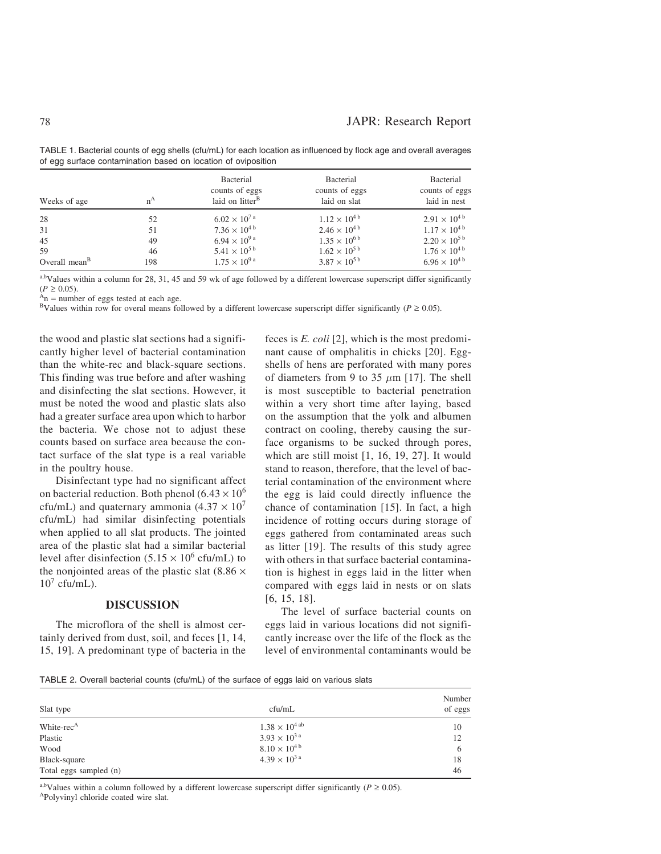|                                                               |  |  |  |  | TABLE 1. Bacterial counts of egg shells (cfu/mL) for each location as influenced by flock age and overall averages |  |
|---------------------------------------------------------------|--|--|--|--|--------------------------------------------------------------------------------------------------------------------|--|
| of egg surface contamination based on location of oviposition |  |  |  |  |                                                                                                                    |  |

| Weeks of age              | $n^{\rm A}$ | Bacterial<br>counts of eggs<br>laid on litter <sup>B</sup> | <b>Bacterial</b><br>counts of eggs<br>laid on slat | Bacterial<br>counts of eggs<br>laid in nest |
|---------------------------|-------------|------------------------------------------------------------|----------------------------------------------------|---------------------------------------------|
| 28                        | 52          | $6.02 \times 10^{7}$ a                                     | $1.12 \times 10^{4}$                               | $2.91 \times 10^{4}$                        |
| 31                        | 51          | $7.36 \times 10^{4}$                                       | $2.46 \times 10^{4}$                               | $1.17 \times 10^{4}$                        |
| 45                        | 49          | $6.94 \times 10^{9}$ <sup>a</sup>                          | $1.35 \times 10^{6}$                               | $2.20 \times 10^{5}$ b                      |
| 59                        | 46          | $5.41 \times 10^{5}$                                       | $1.62 \times 10^{5}$ b                             | $1.76 \times 10^{4}$                        |
| Overall mean <sup>B</sup> | 198         | $1.75 \times 10^{9}$ <sup>a</sup>                          | $3.87 \times 10^{5}$ b                             | $6.96 \times 10^{4}$                        |

a,bValues within a column for 28, 31, 45 and 59 wk of age followed by a different lowercase superscript differ significantly  $(P \ge 0.05)$ 

 $^{A}$ n = number of eggs tested at each age.<br><sup>B</sup>Values within row for overal means followed by a different lowercase superscript differ significantly (*P* ≥ 0.05).

the wood and plastic slat sections had a significantly higher level of bacterial contamination than the white-rec and black-square sections. This finding was true before and after washing and disinfecting the slat sections. However, it must be noted the wood and plastic slats also had a greater surface area upon which to harbor the bacteria. We chose not to adjust these counts based on surface area because the contact surface of the slat type is a real variable in the poultry house.

Disinfectant type had no significant affect on bacterial reduction. Both phenol  $(6.43 \times 10^6$ cfu/mL) and quaternary ammonia  $(4.37 \times 10^7$ cfu/mL) had similar disinfecting potentials when applied to all slat products. The jointed area of the plastic slat had a similar bacterial level after disinfection  $(5.15 \times 10^6 \text{ cftt/mL})$  to the nonjointed areas of the plastic slat  $(8.86 \times$  $10^7$  cfu/mL).

## **DISCUSSION**

The microflora of the shell is almost certainly derived from dust, soil, and feces [1, 14, 15, 19]. A predominant type of bacteria in the feces is *E. coli* [2], which is the most predominant cause of omphalitis in chicks [20]. Eggshells of hens are perforated with many pores of diameters from 9 to 35  $\mu$ m [17]. The shell is most susceptible to bacterial penetration within a very short time after laying, based on the assumption that the yolk and albumen contract on cooling, thereby causing the surface organisms to be sucked through pores, which are still moist [1, 16, 19, 27]. It would stand to reason, therefore, that the level of bacterial contamination of the environment where the egg is laid could directly influence the chance of contamination [15]. In fact, a high incidence of rotting occurs during storage of eggs gathered from contaminated areas such as litter [19]. The results of this study agree with others in that surface bacterial contamination is highest in eggs laid in the litter when compared with eggs laid in nests or on slats [6, 15, 18].

The level of surface bacterial counts on eggs laid in various locations did not significantly increase over the life of the flock as the level of environmental contaminants would be

| TABLE 2. Overall bacterial counts (cfu/mL) of the surface of eggs laid on various slats |  |  |
|-----------------------------------------------------------------------------------------|--|--|
|                                                                                         |  |  |

| Slat type              | cfu/mL                            | Number<br>of eggs |
|------------------------|-----------------------------------|-------------------|
| White-rec <sup>A</sup> | $1.38 \times 10^{4}$ ab           | 10                |
| Plastic                | $3.93 \times 10^{3}$ <sup>a</sup> | 12                |
| Wood                   | $8.10 \times 10^{4}$              | 6                 |
| Black-square           | $4.39 \times 10^{3}$ <sup>a</sup> | 18                |
| Total eggs sampled (n) |                                   | 46                |

a,bValues within a column followed by a different lowercase superscript differ significantly ( $P \ge 0.05$ ).<br>APolyvinyl chloride coated wire slat.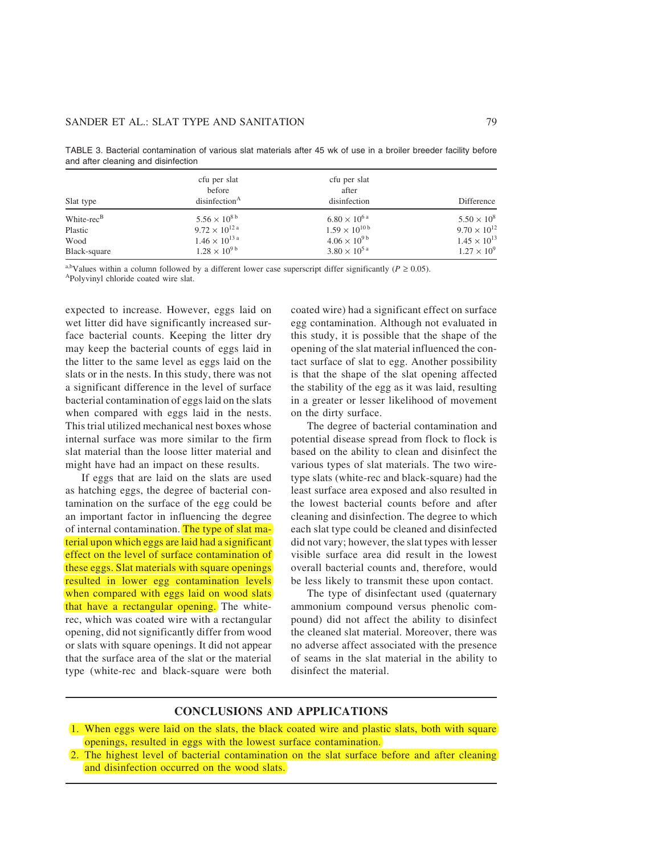TABLE 3. Bacterial contamination of various slat materials after 45 wk of use in a broiler breeder facility before and after cleaning and disinfection

| Slat type              | cfu per slat<br>before<br>disinflection <sup>A</sup> | cfu per slat<br>after<br>disinfection | Difference            |
|------------------------|------------------------------------------------------|---------------------------------------|-----------------------|
| White-rec <sup>B</sup> | $5.56 \times 10^{8}$                                 | $6.80 \times 10^{6}$ <sup>a</sup>     | $5.50 \times 10^8$    |
| Plastic                | $9.72 \times 10^{12}$ <sup>a</sup>                   | $1.59 \times 10^{10}$                 | $9.70 \times 10^{12}$ |
| Wood                   | $1.46 \times 10^{13}$ <sup>a</sup>                   | $4.06 \times 10^{9}$                  | $1.45 \times 10^{13}$ |
| Black-square           | $1.28 \times 10^{9}$ b                               | $3.80 \times 10^{5}$ <sup>a</sup>     | $1.27 \times 10^{9}$  |

a,bValues within a column followed by a different lower case superscript differ significantly ( $P \ge 0.05$ ). APolyvinyl chloride coated wire slat.

expected to increase. However, eggs laid on wet litter did have significantly increased surface bacterial counts. Keeping the litter dry may keep the bacterial counts of eggs laid in the litter to the same level as eggs laid on the slats or in the nests. In this study, there was not a significant difference in the level of surface bacterial contamination of eggs laid on the slats when compared with eggs laid in the nests. This trial utilized mechanical nest boxes whose internal surface was more similar to the firm slat material than the loose litter material and might have had an impact on these results.

If eggs that are laid on the slats are used as hatching eggs, the degree of bacterial contamination on the surface of the egg could be an important factor in influencing the degree of internal contamination. The type of slat ma- $\frac{1}{2}$  terial upon which eggs are laid had a significant effect on the level of surface contamination of these eggs. Slat materials with square openings resulted in lower egg contamination levels when compared with eggs laid on wood slats that have a rectangular opening. The whiterec, which was coated wire with a rectangular opening, did not significantly differ from wood or slats with square openings. It did not appear that the surface area of the slat or the material type (white-rec and black-square were both

coated wire) had a significant effect on surface egg contamination. Although not evaluated in this study, it is possible that the shape of the opening of the slat material influenced the contact surface of slat to egg. Another possibility is that the shape of the slat opening affected the stability of the egg as it was laid, resulting in a greater or lesser likelihood of movement on the dirty surface.

The degree of bacterial contamination and potential disease spread from flock to flock is based on the ability to clean and disinfect the various types of slat materials. The two wiretype slats (white-rec and black-square) had the least surface area exposed and also resulted in the lowest bacterial counts before and after cleaning and disinfection. The degree to which each slat type could be cleaned and disinfected did not vary; however, the slat types with lesser visible surface area did result in the lowest overall bacterial counts and, therefore, would be less likely to transmit these upon contact.

The type of disinfectant used (quaternary ammonium compound versus phenolic compound) did not affect the ability to disinfect the cleaned slat material. Moreover, there was no adverse affect associated with the presence of seams in the slat material in the ability to disinfect the material.

## **CONCLUSIONS AND APPLICATIONS**

- $(1.$  When eggs were laid on the slats, the black coated wire and plastic slats, both with square) openings, resulted in eggs with the lowest surface contamination.
- 2. The highest level of bacterial contamination on the slat surface before and after cleaning and disinfection occurred on the wood slats.